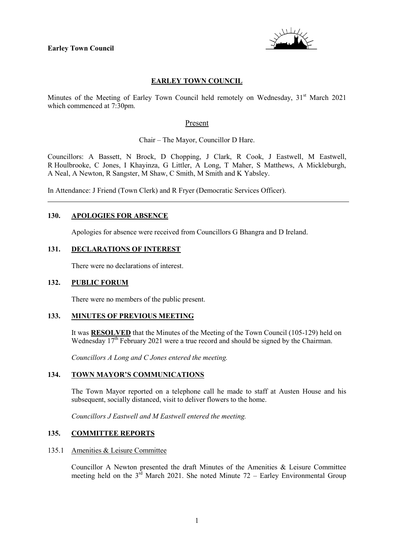

# **EARLEY TOWN COUNCIL**

Minutes of the Meeting of Earley Town Council held remotely on Wednesday,  $31<sup>st</sup>$  March 2021 which commenced at 7:30pm.

#### Present

Chair – The Mayor, Councillor D Hare.

Councillors: A Bassett, N Brock, D Chopping, J Clark, R Cook, J Eastwell, M Eastwell, R Houlbrooke, C Jones, I Khayinza, G Littler, A Long, T Maher, S Matthews, A Mickleburgh, A Neal, A Newton, R Sangster, M Shaw, C Smith, M Smith and K Yabsley.

In Attendance: J Friend (Town Clerk) and R Fryer (Democratic Services Officer).

#### **130. APOLOGIES FOR ABSENCE**

Apologies for absence were received from Councillors G Bhangra and D Ireland.

### **131. DECLARATIONS OF INTEREST**

There were no declarations of interest.

#### **132. PUBLIC FORUM**

There were no members of the public present.

#### **133. MINUTES OF PREVIOUS MEETING**

It was **RESOLVED** that the Minutes of the Meeting of the Town Council (105-129) held on Wednesday  $17<sup>th</sup>$  February 2021 were a true record and should be signed by the Chairman.

*Councillors A Long and C Jones entered the meeting.*

#### **134. TOWN MAYOR'S COMMUNICATIONS**

The Town Mayor reported on a telephone call he made to staff at Austen House and his subsequent, socially distanced, visit to deliver flowers to the home.

*Councillors J Eastwell and M Eastwell entered the meeting.*

# **135. COMMITTEE REPORTS**

#### 135.1 Amenities & Leisure Committee

Councillor A Newton presented the draft Minutes of the Amenities & Leisure Committee meeting held on the  $3<sup>rd</sup>$  March 2021. She noted Minute 72 – Earley Environmental Group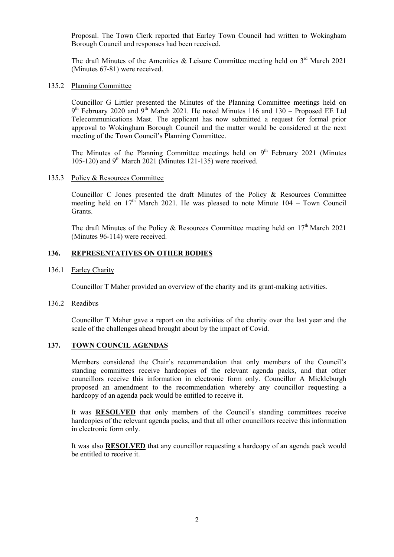Proposal. The Town Clerk reported that Earley Town Council had written to Wokingham Borough Council and responses had been received.

The draft Minutes of the Amenities & Leisure Committee meeting held on  $3<sup>rd</sup>$  March 2021 (Minutes 67-81) were received.

135.2 Planning Committee

Councillor G Littler presented the Minutes of the Planning Committee meetings held on  $9<sup>th</sup>$  February 2020 and  $9<sup>th</sup>$  March 2021. He noted Minutes 116 and 130 – Proposed EE Ltd Telecommunications Mast. The applicant has now submitted a request for formal prior approval to Wokingham Borough Council and the matter would be considered at the next meeting of the Town Council's Planning Committee.

The Minutes of the Planning Committee meetings held on  $9<sup>th</sup>$  February 2021 (Minutes 105-120) and 9<sup>th</sup> March 2021 (Minutes 121-135) were received.

135.3 Policy & Resources Committee

Councillor C Jones presented the draft Minutes of the Policy & Resources Committee meeting held on  $17^{th}$  March 2021. He was pleased to note Minute 104 – Town Council Grants.

The draft Minutes of the Policy & Resources Committee meeting held on  $17<sup>th</sup>$  March 2021 (Minutes 96-114) were received.

#### **136. REPRESENTATIVES ON OTHER BODIES**

136.1 Earley Charity

Councillor T Maher provided an overview of the charity and its grant-making activities.

136.2 Readibus

Councillor T Maher gave a report on the activities of the charity over the last year and the scale of the challenges ahead brought about by the impact of Covid.

### **137. TOWN COUNCIL AGENDAS**

Members considered the Chair's recommendation that only members of the Council's standing committees receive hardcopies of the relevant agenda packs, and that other councillors receive this information in electronic form only. Councillor A Mickleburgh proposed an amendment to the recommendation whereby any councillor requesting a hardcopy of an agenda pack would be entitled to receive it.

It was **RESOLVED** that only members of the Council's standing committees receive hardcopies of the relevant agenda packs, and that all other councillors receive this information in electronic form only.

It was also **RESOLVED** that any councillor requesting a hardcopy of an agenda pack would be entitled to receive it.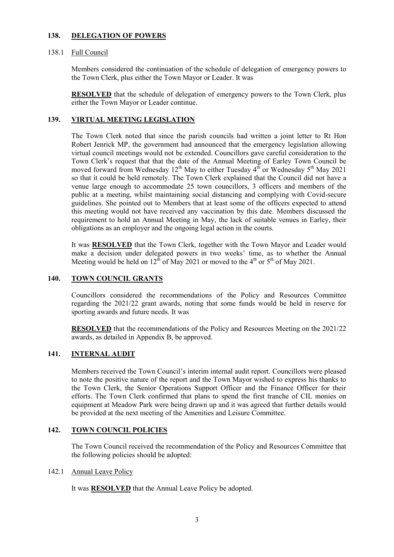### **138. DELEGATION OF POWERS**

# 138.1 Full Council

Members considered the continuation of the schedule of delegation of emergency powers to the Town Clerk, plus either the Town Mayor or Leader. It was

**RESOLVED** that the schedule of delegation of emergency powers to the Town Clerk, plus either the Town Mayor or Leader continue.

# **139. VIRTUAL MEETING LEGISLATION**

The Town Clerk noted that since the parish councils had written a joint letter to Rt Hon Robert Jenrick MP, the government had announced that the emergency legislation allowing virtual council meetings would not be extended. Councillors gave careful consideration to the Town Clerk's request that that the date of the Annual Meeting of Earley Town Council be moved forward from Wednesday  $12^{th}$  May to either Tuesday  $4^{th}$  or Wednesday  $5^{th}$  May 2021 so that it could be held remotely. The Town Clerk explained that the Council did not have a venue large enough to accommodate 25 town councillors, 3 officers and members of the public at a meeting, whilst maintaining social distancing and complying with Covid-secure guidelines. She pointed out to Members that at least some of the officers expected to attend this meeting would not have received any vaccination by this date. Members discussed the requirement to hold an Annual Meeting in May, the lack of suitable venues in Earley, their obligations as an employer and the ongoing legal action in the courts.

It was **RESOLVED** that the Town Clerk, together with the Town Mayor and Leader would make a decision under delegated powers in two weeks' time, as to whether the Annual Meeting would be held on  $12^{th}$  of May 2021 or moved to the 4<sup>th</sup> or 5<sup>th</sup> of May 2021.

# **140. TOWN COUNCIL GRANTS**

Councillors considered the recommendations of the Policy and Resources Committee regarding the 2021/22 grant awards, noting that some funds would be held in reserve for sporting awards and future needs. It was

**RESOLVED** that the recommendations of the Policy and Resources Meeting on the 2021/22 awards, as detailed in Appendix B, be approved.

# **141. INTERNAL AUDIT**

Members received the Town Council's interim internal audit report. Councillors were pleased to note the positive nature of the report and the Town Mayor wished to express his thanks to the Town Clerk, the Senior Operations Support Officer and the Finance Officer for their efforts. The Town Clerk confirmed that plans to spend the first tranche of CIL monies on equipment at Meadow Park were being drawn up and it was agreed that further details would be provided at the next meeting of the Amenities and Leisure Committee.

### **142. TOWN COUNCIL POLICIES**

The Town Council received the recommendation of the Policy and Resources Committee that the following policies should be adopted:

### 142.1 Annual Leave Policy

It was **RESOLVED** that the Annual Leave Policy be adopted.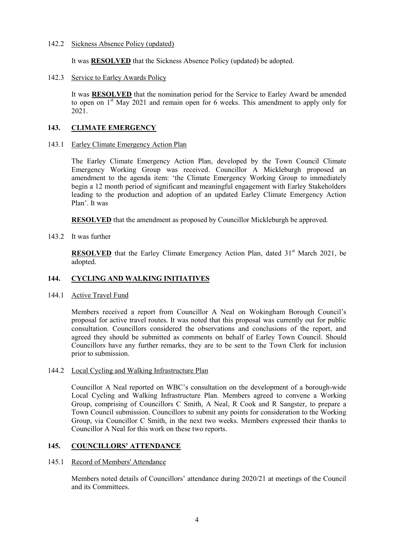### 142.2 Sickness Absence Policy (updated)

It was **RESOLVED** that the Sickness Absence Policy (updated) be adopted.

142.3 Service to Earley Awards Policy

It was **RESOLVED** that the nomination period for the Service to Earley Award be amended to open on  $1<sup>st</sup>$  May 2021 and remain open for 6 weeks. This amendment to apply only for 2021.

# **143. CLIMATE EMERGENCY**

143.1 Earley Climate Emergency Action Plan

The Earley Climate Emergency Action Plan, developed by the Town Council Climate Emergency Working Group was received. Councillor A Mickleburgh proposed an amendment to the agenda item: 'the Climate Emergency Working Group to immediately begin a 12 month period of significant and meaningful engagement with Earley Stakeholders leading to the production and adoption of an updated Earley Climate Emergency Action Plan'. It was

**RESOLVED** that the amendment as proposed by Councillor Mickleburgh be approved.

143.2 It was further

**RESOLVED** that the Earley Climate Emergency Action Plan, dated  $31<sup>st</sup>$  March 2021, be adopted.

# **144. CYCLING AND WALKING INITIATIVES**

144.1 Active Travel Fund

Members received a report from Councillor A Neal on Wokingham Borough Council's proposal for active travel routes. It was noted that this proposal was currently out for public consultation. Councillors considered the observations and conclusions of the report, and agreed they should be submitted as comments on behalf of Earley Town Council. Should Councillors have any further remarks, they are to be sent to the Town Clerk for inclusion prior to submission.

### 144.2 Local Cycling and Walking Infrastructure Plan

Councillor A Neal reported on WBC's consultation on the development of a borough-wide Local Cycling and Walking Infrastructure Plan. Members agreed to convene a Working Group, comprising of Councillors C Smith, A Neal, R Cook and R Sangster, to prepare a Town Council submission. Councillors to submit any points for consideration to the Working Group, via Councillor C Smith, in the next two weeks. Members expressed their thanks to Councillor A Neal for this work on these two reports.

### **145. COUNCILLORS' ATTENDANCE**

### 145.1 Record of Members' Attendance

Members noted details of Councillors' attendance during 2020/21 at meetings of the Council and its Committees.